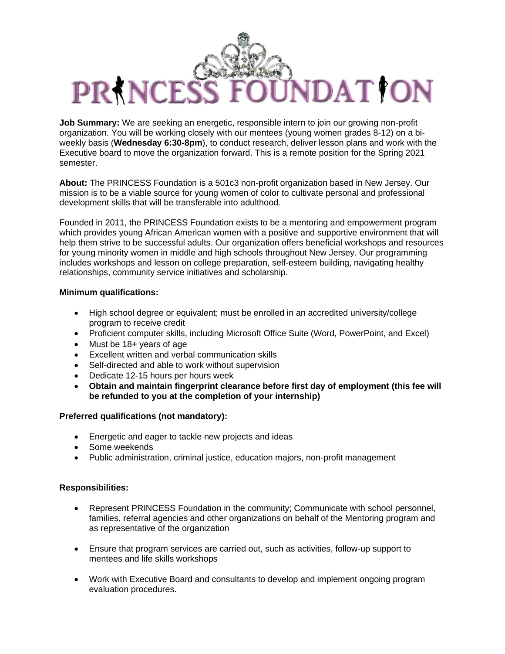# IDATION PR NCES

**Job Summary:** We are seeking an energetic, responsible intern to join our growing non-profit organization. You will be working closely with our mentees (young women grades 8-12) on a biweekly basis (**Wednesday 6:30-8pm**), to conduct research, deliver lesson plans and work with the Executive board to move the organization forward. This is a remote position for the Spring 2021 semester.

**About:** The PRINCESS Foundation is a 501c3 non-profit organization based in New Jersey. Our mission is to be a viable source for young women of color to cultivate personal and professional development skills that will be transferable into adulthood.

Founded in 2011, the PRINCESS Foundation exists to be a mentoring and empowerment program which provides young African American women with a positive and supportive environment that will help them strive to be successful adults. Our organization offers beneficial workshops and resources for young minority women in middle and high schools throughout New Jersey. Our programming includes workshops and lesson on college preparation, self-esteem building, navigating healthy relationships, community service initiatives and scholarship.

## **Minimum qualifications:**

- High school degree or equivalent; must be enrolled in an accredited university/college program to receive credit
- Proficient computer skills, including Microsoft Office Suite (Word, PowerPoint, and Excel)
- Must be 18+ years of age
- Excellent written and verbal communication skills
- Self-directed and able to work without supervision
- Dedicate 12-15 hours per hours week
- **Obtain and maintain fingerprint clearance before first day of employment (this fee will be refunded to you at the completion of your internship)**

### **Preferred qualifications (not mandatory):**

- Energetic and eager to tackle new projects and ideas
- Some weekends
- Public administration, criminal justice, education majors, non-profit management

### **Responsibilities:**

- Represent PRINCESS Foundation in the community; Communicate with school personnel, families, referral agencies and other organizations on behalf of the Mentoring program and as representative of the organization
- Ensure that program services are carried out, such as activities, follow-up support to mentees and life skills workshops
- Work with Executive Board and consultants to develop and implement ongoing program evaluation procedures.